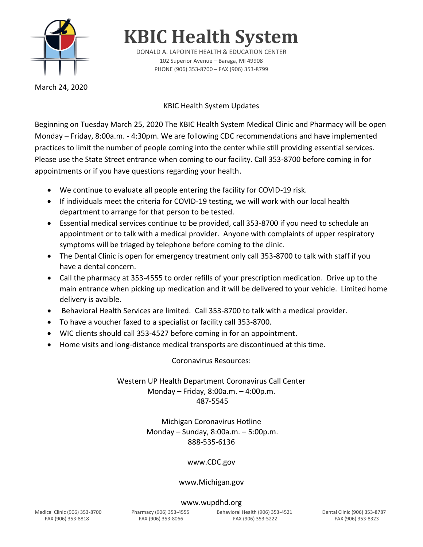

**KBIC Health System**

DONALD A. LAPOINTE HEALTH & EDUCATION CENTER 102 Superior Avenue – Baraga, MI 49908 PHONE (906) 353-8700 – FAX (906) 353-8799

March 24, 2020

## KBIC Health System Updates

Beginning on Tuesday March 25, 2020 The KBIC Health System Medical Clinic and Pharmacy will be open Monday – Friday, 8:00a.m. - 4:30pm. We are following CDC recommendations and have implemented practices to limit the number of people coming into the center while still providing essential services. Please use the State Street entrance when coming to our facility. Call 353-8700 before coming in for appointments or if you have questions regarding your health.

- We continue to evaluate all people entering the facility for COVID-19 risk.
- If individuals meet the criteria for COVID-19 testing, we will work with our local health department to arrange for that person to be tested.
- Essential medical services continue to be provided, call 353-8700 if you need to schedule an appointment or to talk with a medical provider. Anyone with complaints of upper respiratory symptoms will be triaged by telephone before coming to the clinic.
- The Dental Clinic is open for emergency treatment only call 353-8700 to talk with staff if you have a dental concern.
- Call the pharmacy at 353-4555 to order refills of your prescription medication. Drive up to the main entrance when picking up medication and it will be delivered to your vehicle. Limited home delivery is avaible.
- Behavioral Health Services are limited. Call 353-8700 to talk with a medical provider.
- To have a voucher faxed to a specialist or facility call 353-8700.
- WIC clients should call 353-4527 before coming in for an appointment.
- Home visits and long-distance medical transports are discontinued at this time.

Coronavirus Resources:

Western UP Health Department Coronavirus Call Center Monday – Friday, 8:00a.m. – 4:00p.m. 487-5545

## Michigan Coronavirus Hotline Monday – Sunday, 8:00a.m. – 5:00p.m. 888-535-6136

### www.CDC.gov

### www.Michigan.gov

#### www.wupdhd.org